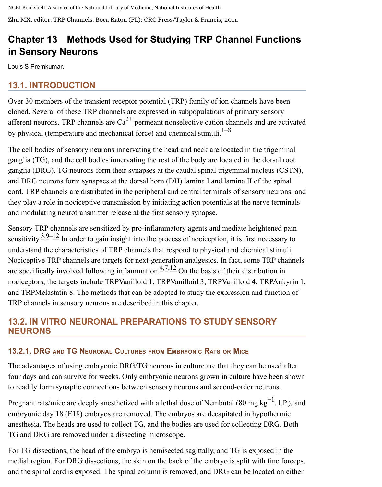cloned. Several of these TRP channels are expressed in subpopulations of primary sensory afferent neurons. TRP channels are  $Ca^{2+}$  permeant nonselective cation channels and are activ by physical (temperature and mechanical force) and chemical stimuli. $\frac{1-8}{5}$ 

The cell bodies of sensory neurons innervating the head and neck are located in the trigeminal ganglia (TG), and the cell bodies innervating the rest of the body are located in the dorsal root ganglia (DRG). TG neurons form their synapses at the caudal spinal trigeminal nucleus (CST) and DRG neurons form synapses at the dorsal horn (DH) lamina I and lamina II of the spinal cord. TRP channels are distributed in the peripheral and central terminals of sensory neurons, they play a role in nociceptive transmission by initiating action potentials at the nerve terminal and modulating neurotransmitter release at the first sensory synapse.

Sensory TRP channels are sensitized by pro-inflammatory agents and mediate heightened pain sensitivity. $\frac{3.9-12}{ }$  In order to gain insight into the process of nocicepti[on, i](https://www.ncbi.nlm.nih.gov/books/NBK92807/#)t is first necessary to understand the characteristics of TRP channels that respond to physical and chemical stimuli. Nociceptive TRP channels are targets for next-generation analgesics. In fact, some TRP chan are specifically involved following inflammation. $4.7,12$  On the basis of their distribution in nociceptors, the targets include TRPVanilloid 1, TRPVanilloid 3, TRPVanilloid 4, TRPAnkyr and TRPMelastatin 8. The methods that can be adopted to study the expression and function TRP channels in sensory neurons are described in this chapter.

## **13.2. IN VITRO NEURONAL PREPARATIONS TO STUDY SENSORY NEURONS**

### **13.2.1. D[RG](https://www.ncbi.nlm.nih.gov/books/NBK92807/#) AND TG NEURONAL CULTURES FROM EMBRYONIC RATS OR MICE**

The advantages of using embryonic DRG/TG neurons in culture are that they can be used aft four days and can survive for weeks. Only embry[onic n](https://www.ncbi.nlm.nih.gov/books/NBK92807/#)eurons grown in culture have been sh to readily form synaptic connections between sensory neurons and second-order neurons.

Pregnant rats/mice are deeply anesthetized with a lethal dose of Nembutal (80 mg kg<sup>-1</sup>, I.P.), embryonic day 18 (E18) embryos are removed. The embryos are decapitated in hypothermic anesthesia. The heads are used to collect TG, and the bodies are used for collecting DRG. Bo TG and DRG are removed under a dissecting microscope.

For TG dissections, the head of the embryo is hemisected sagittally, and TG is exposed in the medial region. For DRG dissections, the skin on the back of the embryo is split with fine force and the spinal cord is exposed. The spinal column is removed, and DRG can be located on ei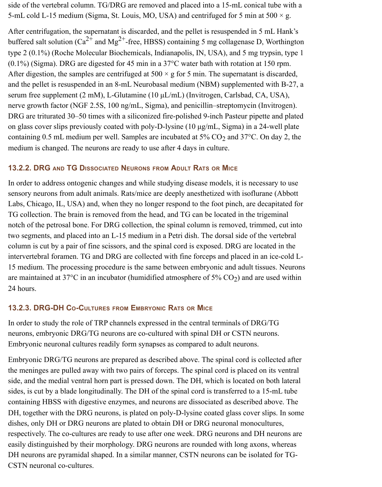side of the vertebral column. TG/DRG are removed and placed into a 15-mL conical tube with a 5-mL cold L-15 medium (Sigma, St. Louis, MO, USA) and centrifuged for 5 min at  $500 \times g$ .

After centrifugation, the supernatant is discarded, and the pellet is resuspended in 5 mL Hank's buffered salt solution (Ca<sup>2+</sup> and Mg<sup>2+</sup>-free, HBSS) containing 5 mg collagenase D, Worthington type 2 (0.1%) (Roche Molecular Biochemicals, Indianapolis, IN, USA), and 5 mg trypsin, type 1 (0.1%) (Sigma). DRG are digested for 45 min in a 37°C water bath with rotation at 150 rpm. After digestion, the samples are centrifuged at  $500 \times g$  for 5 min. The supernatant is discarded, and the pellet is resuspended in an 8-mL Neurobasal medium (NBM) supplemented with B-27, a serum free supplement (2 mM), L-Glutamine (10 µL/mL) (Invitrogen, Carlsbad, CA, USA), nerve growth factor (NGF 2.5S, 100 ng/mL, Sigma), and penicillin–streptomycin (Invitrogen). DRG are triturated 30–50 times with a siliconized fire-polished 9-inch Pasteur pipette and plated on glass cover slips previously coated with poly-D-lysine (10 µg/mL, Sigma) in a 24-well plate containing 0.5 mL medium per well. Samples are incubated at  $5\%$  CO<sub>2</sub> and  $37^{\circ}$ C. On day 2, the medium is changed. The neurons are ready to use after 4 days in culture.

### **13.2.2. DRG AND TG DISSOCIATED NEURONS FROM ADULT RATS OR MICE**

In order to address ontogenic changes and while studying disease models, it is necessary to use sensory neurons from adult animals. Rats/mice are deeply anesthetized with isoflurane (Abbott Labs, Chicago, IL, USA) and, when they no longer respond to the foot pinch, are decapitated for TG collection. The brain is removed from the head, and TG can be located in the trigeminal notch of the petrosal bone. For DRG collection, the spinal column is removed, trimmed, cut into two segments, and placed into an L-15 medium in a Petri dish. The dorsal side of the vertebral column is cut by a pair of fine scissors, and the spinal cord is exposed. DRG are located in the intervertebral foramen. TG and DRG are collected with fine forceps and placed in an ice-cold L-15 medium. The processing procedure is the same between embryonic and adult tissues. Neurons are maintained at 37°C in an incubator (humidified atmosphere of 5%  $CO_2$ ) and are used within 24 hours.

#### **13.2.3. DRG-DH CO-CULTURES FROM EMBRYONIC RATS OR MICE**

In order to study the role of TRP channels expressed in the central terminals of DRG/TG neurons, embryonic DRG/TG neurons are co-cultured with spinal DH or CSTN neurons. Embryonic neuronal cultures readily form synapses as compared to adult neurons.

Embryonic DRG/TG neurons are prepared as described above. The spinal cord is collected after the meninges are pulled away with two pairs of forceps. The spinal cord is placed on its ventral side, and the medial ventral horn part is pressed down. The DH, which is located on both lateral sides, is cut by a blade longitudinally. The DH of the spinal cord is transferred to a 15-mL tube containing HBSS with digestive enzymes, and neurons are dissociated as described above. The DH, together with the DRG neurons, is plated on poly-D-lysine coated glass cover slips. In some dishes, only DH or DRG neurons are plated to obtain DH or DRG neuronal monocultures, respectively. The co-cultures are ready to use after one week. DRG neurons and DH neurons are easily distinguished by their morphology. DRG neurons are rounded with long axons, whereas DH neurons are pyramidal shaped. In a similar manner, CSTN neurons can be isolated for TG-CSTN neuronal co-cultures.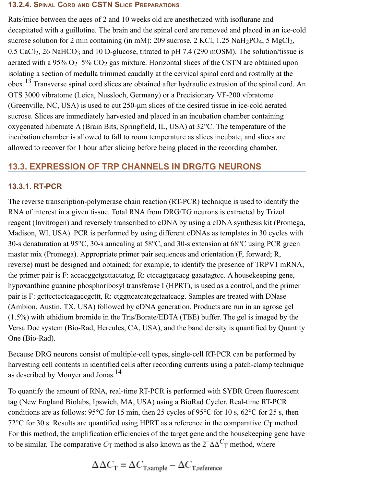(Greenville, NC, USA) is used to cut 250- $\mu$ m slices of the desired tissue in ice-cold aerated tissue in ice-cold aerated tissue in ice-cold aerated tissue in ice-cold aerated tissue in ice-cold aerated tissue in ice-col sucrose. Slices are immediately harvested and placed in an incubation chamber containing oxygenated hibernate A (Brain Bits, Springfield, IL, USA) at 32°C. The temperature of the incubation chamber is allowed to fall to room temperature as slices incubate, and slices are allowed to recover for 1 hour after slicing before being placed in the recording chamber.

# **13.3. EXPRESSION OF TRP CHANNELS IN DRG/TG NEURONS**

## **13.3[.1.](https://www.ncbi.nlm.nih.gov/books/NBK92807/#) RT-PCR**

The reverse transcription-polymerase chain reaction (RT-PCR) technique is used to identify the RNA of interest in a given tissue. Total RNA from DRG/TG neurons is extracted by Trizol reagent (Invitrogen) and reversely transcribed to cDNA by using a cDNA synthesis kit (Prom Madison, WI, USA). PCR is performed by using different cDNAs as templates in 30 cycles v 30-s denaturation at 95°C, 30-s annealing at 58°C, and 30-s extension at 68°C using PCR gre master mix (Promega). Appropriate primer pair sequences and orientation (F, forward; R, reverse) must be designed and obtained; for example, to identify the presence of TRPV1 mR the primer pair is F: accacggctgcttactateg, R: ctccagtgacacg gaaatagtcc. A housekeeping gene hypoxanthine guanine phosphoribosyl transferase I (HPRT), is used as a control, and the prin pair is F: gcttcctcctcagaccgcttt, R: ctggttcatcatcgctaatcacg. Samples are treated with DNase (Ambion, Austin, TX, USA) followed by cDNA generation. Products are run in an agrose ge  $(1.5\%)$  with ethidium bromide in the Tris/Borate/EDTA (TBE) buffer. The gel is imaged by the Versa Doc system (Bio-Rad, Hercules, CA, USA), and the band density is quantified by Quantified One (Bio-Rad).

Because DRG neurons consist of multiple-cell types, single-cell RT-PCR can be performed b harvesting cell contents in identified cells after recording currents using a patch-clamp techni as described by Monyer and Jonas.<sup>14</sup>

To quantify the amount of RNA, real-time RT-PCR is performed with SYBR Green fluorescent tag (New England Biolabs, Ipswich, MA, USA) using a BioRad Cycler. Real-time RT-PCR conditions are as follows: 95°C for 15 min, then 25 cycles of 95°C for 10 s, 62°C for 25 s, th 72 $\rm ^{o}C$  for 30 s. Results are quantified using HPRT as a reference in the comparative  $C_{\rm T}$  metho For this method, the amplification efficiencies of the target gene and the housekeeping gene l to be similar. The comparative  $C_T$  method is also known as the  $2^-\Delta \Delta^C_T$  method, where

 $\Delta \Delta C_{\text{T}} = \Delta C_{\text{T,sample}} - \Delta C_{\text{T,reference}}$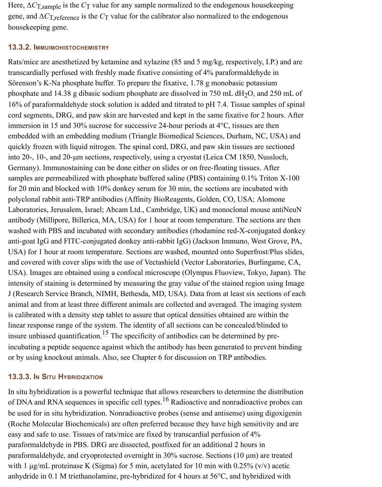cord segments, DRG, and paw skin are harvested and kept in the same fixative for 2 hours. A immersion in 15 and 30% sucrose for successive 24-hour periods at 4°C, tissues are then embedded with an embedding medium (Triangle Biomedical Sciences, Durham, NC, USA) and quickly frozen with liquid nitrogen. The spinal cord, DRG, and paw skin tissues are sectioned into 20-, 10-, and 20-µm sections, respectively, using a cryostat (Leica CM 1850, Nussloch, Germany). Immunostaining can be done either on slides or on free-floating tissues. After samples are permeabilized with phosphate buffered saline (PBS) containing 0.1% Triton X-1 for 20 min and blocked with 10% donkey serum for 30 min, the sections are incubated with polyclonal rabbit anti-TRP antibodies (Affinity BioReagents, Golden, CO, USA; Alomone Laboratories, Jerusalem, Israel; Abcam Ltd., Cambridge, UK) and monoclonal mouse antiNe antibody (Millipore, Billerica, MA, USA) for 1 hour at room temperature. The sections are the washed with PBS and incubated with secondary antibodies (rhodamine red-X-conjugated don anti-goat IgG and FITC-conjugated donkey anti-rabbit IgG) (Jackson Immuno, West Grove, P USA) for 1 hour at room temperature. Sections are washed, mounted onto Superfrost/Plus sli and covered with cover slips with the use of Vectashield (Vector Laboratories, Burlingame, C USA). Images are obtained using a confocal microscope (Olympus Fluoview, Tokyo, Japan). intensity of staining is determined by measuring the gray value of the stained region using In J (Research Service Branch, NIMH, Bethesda, MD, USA). Data from at least six sections of animal and from at least three different animals are collected and averaged. The imaging syst is calibrated with a density step tablet to assure that optical densities obtained are within the linear response range of the system. The identity of all sections can be concealed/blinded to insure unbiased quantification.  $\frac{15}{10}$  The specificity of antibodies can be determined by preincubating a peptide sequence against which the antibody has been generated to prevent bind or by using knockout animals. Also, see Chapter 6 for discussion on TRP antibodies.

#### **13.3.3. IN SITU HYBRIDIZATION**

In situ hybridization is a powerful technique that allows researchers to determine the distribu of DNA and RNA sequences in specific cell types.  $\frac{16}{16}$  Radioactive and nonradioactive probes be used for in situ hybridization. Nonradioactive probes (sense and antisense) using digoxige (Roche Molecular Biochemicals) are often preferred because they have high sensitivity and a easy and safe to use. Tissues of rats/mice are fixed by transcardial perfusion of 4% paraformaldehyde in PBS. DR[G a](https://www.ncbi.nlm.nih.gov/books/NBK92807/#)re dissected, postfixed for an additional 2 hours in paraformaldehyde, and cryoprotected overnight in 30% sucrose. Sections (10 µm) are treated with 1  $\mu$ g/mL proteinase K (Sigma) for [5 min, acet](https://www.ncbi.nlm.nih.gov/books/n/trpchan/ch6/)ylated for 10 min with 0.25% (v/v) acetic anhydride in 0.1 M triethanolamine, pre-hybridized for 4 hours at 56°C, and hybridized with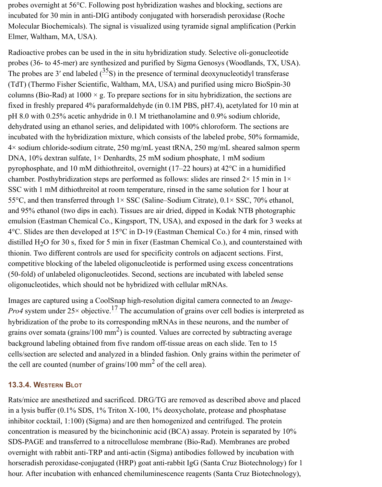fixed in freshly prepared 4% paraformaldehyde (in 0.1M PBS, pH7.4), acetylated for 10 min at pH 8.0 with 0.25% acetic anhydride in 0.1 M triethanolamine and 0.9% sodium chloride, dehydrated using an ethanol series, and delipidated with 100% chloroform. The sections are incubated with the hybridization mixture, which consists of the labeled probe, 50% formamic  $4\times$  sodium chloride-sodium citrate, 250 mg/mL yeast tRNA, 250 mg/mL sheared salmon sper DNA, 10% dextran sulfate, 1× Denhardts, 25 mM sodium phosphate, 1 mM sodium pyrophosphate, and 10 mM dithiothreitol, overnight (17–22 hours) at 42°C in a humidified chamber. Posthybridization ste[ps](https://www.ncbi.nlm.nih.gov/books/NBK92807/#) are performed as follows: slides are rinsed  $2 \times 15$  min in  $1 \times$ SSC with 1 mM dithiothreitol at room temperature, rinsed in the same solution for 1 hour at 55°C, and then transferred through  $1 \times SSC$  (Saline–Sodium Citrate),  $0.1 \times SSC$ , 70% ethanol and 95% ethanol (two dips in each). Tissues are air dried, dipped in Kodak NTB photographic emulsion (Eastman Chemical Co., Kingsport, TN, USA), and exposed in the dark for 3 week  $4^{\circ}$ C. Slides are then developed at  $15^{\circ}$ C in D-19 (Eastman Chemical Co.) for 4 min, rinsed with distilled  $H_2O$  for 30 s, fixed for 5 min in fixer (Eastman Chemical Co.), and counterstained w thionin. Two different controls are used for specificity controls on adjacent sections. First, competitive blocking of the labeled oligonucleotide is performed using excess concentrations (50-fold) of unlabeled oligonucleotides. Second, sections are incubated with labeled sense oligonucleotides, which should not be hybridized with cellular mRNAs.

Images are captured using a CoolSnap high-resolution digital camera connected to an *Image-Pro4* system under  $25 \times$  objective.<sup>17</sup> The accumulation of grains over cell bodies is interprete hybridization of the probe to its corresponding mRNAs in these neurons, and the number of grains over somata (grains/100 mm<sup>2</sup>) is counted. Values are corrected by subtracting average background labeling obtained from five random off-tissue areas on each slide. Ten to 15 cells/section are selected and analyzed in a blinded fashion. Only grains within the perimeter the cell are counted (number of grains/100 mm<sup>2</sup> of the cell area).

## **13.3.4. WESTERN BLOT**

Rats/mice are anesthetized and sacrificed. DRG/TG are removed as described above and place in a lysis buffer (0.1% SDS, 1% Triton X-100, 1% deoxycholate, protease and phosphatase inhibitor cocktail, 1:100) (Sigma) [an](https://www.ncbi.nlm.nih.gov/books/NBK92807/#)d are then homogenized and centrifuged. The protein concentration is measured by the bicinchoninic acid (BCA) assay. Protein is separated by 10% SDS-PAGE and transferred to a nitrocellulose membrane (Bio-Rad). Membranes are probed overnight with rabbit anti-TRP and anti-actin (Sigma) antibodies followed by incubation with horseradish peroxidase-conjugated (HRP) goat anti-rabbit IgG (Santa Cruz Biotechnology) for hour. After incubation with enhanced chemiluminescence reagents (Santa Cruz Biotechnology)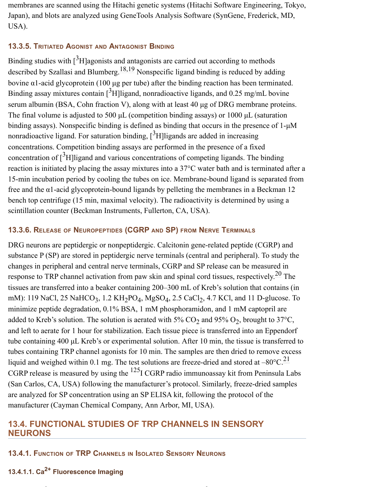The final volume is adjusted to 500  $\mu$ L (competition binding assays) or 1000  $\mu$ L (saturation binding assays). Nonspecific binding is defined as binding that occurs in the presence of  $1-\mu$ nonradioactive ligand. For saturation binding,  $[{}^{3}H]$ ligands are added in increasing concentrations. Competition binding assays are performed in the presence of a fixed concentration of  $[3H]$ ligand and various concentrations of competing ligands. The binding reaction is initiated by placing the assay mixtures into a  $37^{\circ}$ C water bath and is terminated af 15-min incubation period by coolin[g the t](https://www.ncbi.nlm.nih.gov/books/NBK92807/#)ubes on ice. Membrane-bound ligand is separated f free and the  $\alpha$ 1-acid glycoprotein-bound ligands by pelleting the membranes in a Beckman 1 bench top centrifuge (15 min, maximal velocity). The radioactivity is determined by using a scintillation counter (Beckman Instruments, Fullerton, CA, USA).

#### **13.3.6. RELEASE OF NEUROPEPTIDES (CGRP AND SP) FROM NERVE TERMINALS**

DRG neurons are peptidergic or nonpeptidergic. Calcitonin gene-related peptide (CGRP) and substance P (SP) are stored in peptidergic nerve terminals (central and peripheral). To study the changes in peripheral and central nerve terminals, CGRP and SP release can be measured in response to TRP channel activation from paw skin and spinal cord tissues, respectively. $\frac{20}{10}$  Th tissues are transferred into a beaker containing 200–300 mL of Kreb's solution that contains (in mM): 119 NaCl, 25 NaHCO<sub>3</sub>, 1.2 KH<sub>2</sub>PO<sub>4</sub>, MgSO<sub>4</sub>, 2.5 CaCl<sub>2</sub>, 4.7 KCl, and 11 D-glucose. minimize peptide degradation, 0.1% BSA, 1 mM phosphoramidon, and 1 mM captopril are added to Kreb's solution. The solution is aerated with 5% CO<sub>2</sub> and 95% O<sub>2</sub>, brought to 37°C and left to aerate for 1 hour for stabilization. Each tissue piece is transferred into an Eppendo tube containing 400 µL Kreb's or experimental solution. After 10 min, the tissue is transferre tubes containing TRP channel agonists for 10 min. The samples are then dried to remove exc liquid and weighed within 0.1 mg. The test solutions are freeze-dried and stored at  $-80^{\circ}$ C. $\frac{21}{2}$ CGRP release is measured by using the  $125$ I CGRP radio immunoassay kit from Peninsula La (San Carlos, CA, USA) following the manufacturer's protocol. Similarly, freeze-dried [sam](https://www.ncbi.nlm.nih.gov/books/NBK92807/#)ple are analyzed for SP concentration using an SP ELISA kit, following the protocol of the manufacturer (Cayman Chemical Company, Ann Arbor, MI, USA).

### **13.4. FUNCTIONAL STUDIES OF TRP CHANNELS IN SENSORY NEURONS**

**13.4.1. FUNCTION OF TRP CHANNELS IN ISOLATED SENSORY NEURONS**

*2+* 2+

13.4.1.1. Ca<sup>2+</sup> Fluorescence Imaging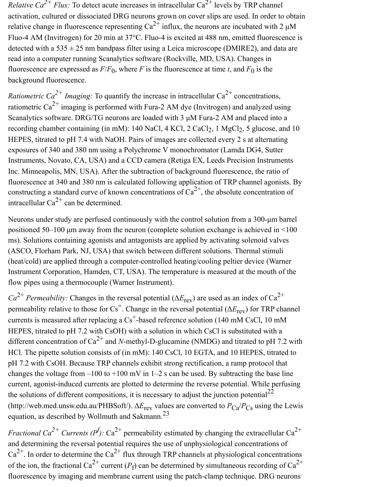ratiometric Ca imaging is performed with Fura-2 AM dye (Invitrogen) and analyzed using Scanalytics software. DRG/TG neurons are loaded with 3  $\mu$ M Fura-2 AM and placed into a recording chamber containing (in mM): 140 NaCl, 4 KCl, 2 CaCl<sub>2</sub>, 1 MgCl<sub>2</sub>, 5 glucose, and HEPES, titrated to pH 7.4 with NaOH. Pairs of images are collected every 2 s at alternating exposures of 340 and 380 nm using a Polychrome V monochromator (Lamda DG4, Sutter Instruments, Novato, CA, USA) and a CCD camera (Retiga EX, Leeds Precision Instruments Inc. Minneapolis, MN, USA). After the subtraction of background fluorescence, the ratio of fluorescence at 340 and 380 nm is calculated following application of TRP channel agonists. constructing a standard curve of known concentrations of  $Ca^{2+}$ , the absolute concentration of intracellular  $Ca^{2+}$  can be determined.

Neurons under study are perfused continuously with the control solution from a 300-µm barr positioned 50–100  $\mu$ m away from the neuron (complete solution exchange is achieved in <10 ms). Solutions containing agonists and antagonists are applied by activating solenoid valves (ASCO, Florham Park, NJ, USA) that switch between different solutions. Thermal stimuli (heat/cold) are applied through a computer-controlled heating/cooling peltier device (Warner Instrument Corporation, Hamden, CT, USA). The temperature is measured at the mouth of the flow pipes using a thermocouple (Warner Instrument).

 $Ca^{2+}$  *Permeability:* Changes in the reversal potential ( $\Delta E_{\text{rev}}$ ) are used as an index of Ca permeability relative to those for  $\text{Cs}^+$ . Change in the reversal potential ( $\Delta E_{\text{rev}}$ ) for TRP channell currents is measured after replacing a  $\text{Cs}^+$ -based reference solution (140 mM CsCl, 10 mM HEPES, titrated to pH 7.2 with CsOH) with a solution in which CsCl is substituted with a different concentration of  $Ca^{2+}$  and *N*-methyl-D-glucamine (NMDG) and titrated to pH 7.2 w HCl. The pipette solution consists of (in mM): 140 CsCl, 10 EGTA, and 10 HEPES, titrated to pH 7.2 with CsOH. Because TRP channels exhibit strong rectification, a ramp protocol that changes the voltage from  $-100$  to  $+100$  mV in  $1-2$  s can be used. By subtracting the base line current, agonist-induced currents are plotted to determine the reverse potential. While perfusi the solutions of different compositions, it is necessary to adjust the junction potential  $\frac{2^{\frac{1}{2}}}{\frac{1}{2}}$ (http://web.med.unsw.edu.au/PHBSoft/).  $\Delta E_{\text{rev}}$  values are converted to  $P_{\text{Ca}}/P_{\text{Cs}}$  using the Le equation, as described by Wollmuth and Sakmann.<sup>23</sup> rev 2+ rev

*Fractional Ca*<sup>2+</sup> *Currents (P<sup>f</sup>):* Ca<sup>2+</sup> permeability estimated by changing the extracellular Ca and determining the reversal potential requires the use of unphysiological concentrations of  $Ca^{2+}$ . In order to determine the  $Ca^{2+}$  flux through TRP channels at physiological concentrations of the ion, the fractional Ca<sup>2+</sup> current ( $P_f$ ) can be determined by simultaneous recording of C fluorescence by imaging and membrane current using the patch-clamp technique. DRG neurons f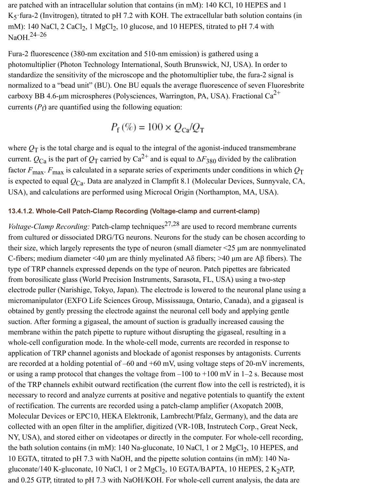eurrents (*P*<sub>1</sub>) are quantified asing the following equation:

$$
P_{\rm f}(\%) = 100 \times Q_{\rm Ca}/Q_{\rm T}
$$

where  $Q_T$  $Q_T$  [is](https://www.ncbi.nlm.nih.gov/books/NBK92807/#) the total charge and is equal to the integral of the agonist-induced transmembran current.  $Q_{Ca}$  is the part of  $Q_T$  carried by  $Ca^{2+}$  and is equal to  $\Delta F_{380}$  divided by the calibration factor  $F_{\text{max}}$ .  $F_{\text{max}}$  is calculated in a separate series of experiments under conditions in which is expected to equal  $Q_{Ca}$ . Data are analyzed in Clampfit 8.1 (Molecular Devices, Sunnyvale, USA), and calculations are performed using Microcal Origin (Northampton, MA, USA). 2+ 380

#### **13.4.1.2. Whole-Cell Patch-Clamp Recording (Voltage-clamp and current-clamp)**

*Voltage-Clamp Recording:* Patch-clamp techniques $27,28$  are used to record membrane current from cultured or dissociated DRG/TG neurons. Neurons for the study can be chosen according their size, which largely represents the type of neuron (small diameter  $\leq$  25  $\mu$ m are nonmyeling C-fibers; medium diameter <40 µm are thinly myelinated A $\delta$  fibers; >40 µm are A $\beta$  fibers). The type of TRP channels expressed depends on the type of neuron. Patch pipettes are fabricated from borosilicate glass (World Precision Instruments, Sarasota, FL, USA) using a two-step electrode puller (Narishige, Tokyo, Japan). The electrode is lowered to the neuronal plane using micromanipulator (EXFO Life Sciences Group, Mississauga, Ontario, Canada), and a gigaseal obtained by gently pressing the electrode against the neuronal cell body and applying gentle suction. After forming a gigaseal, the amount of suction is gradually increased causing the membrane within the patch pipette to rupture with[out dis](https://www.ncbi.nlm.nih.gov/books/NBK92807/#)rupting the gigaseal, resulting in a whole-cell configuration mode. In the whole-cell mode, currents are recorded in response to application of TRP channel agonists and blockade of agonist responses by antagonists. Currents are recorded at a holding potential of  $-60$  and  $+60$  mV, using voltage steps of 20-mV increments or using a ramp protocol that changes the voltage from  $-100$  to  $+100$  mV in  $1-2$  s. Because no of the TRP channels exhibit outward rectification (the current flow into the cell is restricted), necessary to record and analyze currents at positive and negative potentials to quantify the ex of rectification. The currents are recorded using a patch-clamp amplifier (Axopatch 200B, Molecular Devices or EPC10, HEKA Elektronik, Lambrecht/Pfalz, Germany), and the data a collected with an open filter in the amplifier, digitized (VR-10B, Instrutech Corp., Great Neck, NY, USA), and stored either on videotapes or directly in the computer. For whole-cell record the bath solution contains (in mM):  $140$  Na-gluconate,  $10$  NaCl,  $1$  or  $2$  MgCl<sub>2</sub>,  $10$  HEPES, and 10 EGTA, titrated to pH 7.3 with NaOH, and the pipette solution contains (in mM): 140 Nagluconate/140 K-gluconate, 10 NaCl, 1 or 2 MgCl<sub>2</sub>, 10 EGTA/BAPTA, 10 HEPES, 2 K<sub>2</sub>ATF and 0.25 GTP, titrated to pH 7.3 with NaOH/KOH. For whole-cell current analysis, the data a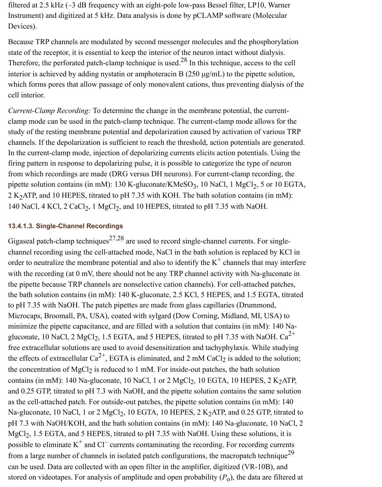*Current-Clamp Recording:* To determine the change in the membrane potential, the currentclamp mode can be used in the patch-clamp technique. The current-clamp mode allows for the study of the resting membrane potential and depolarization caused by activation of various T channels. If the depolarization is sufficient to reach the threshold, action potentials are generated. In the current-clamp mode, injection of depolarizing currents elicits action potentials. Using the firing pattern in response to depolarizing pulse, it is pos[sibl](https://www.ncbi.nlm.nih.gov/books/NBK92807/#)e to categorize the type of neuron from which recordings are made (DRG versus DH neurons). For current-clamp recording, the pipette solution contains (in mM): 130 K-gluconate/KMeSO<sub>3</sub>, 10 NaCl, 1 MgCl<sub>2</sub>, 5 or 10 EC 2 K<sub>2</sub>ATP, and 10 HEPES, titrated to pH 7.35 with KOH. The bath solution contains (in mM): 140 NaCl, 4 KCl, 2 CaCl<sub>2</sub>, 1 MgCl<sub>2</sub>, and 10 HEPES, titrated to pH 7.35 with NaOH.

### **13.4.1.3. Single-Channel Recordings**

Gigaseal patch-clamp techniques $\frac{27,28}{ }$  are used to record single-channel currents. For singlechannel recording using the cell-attached mode, NaCl in the bath solution is replaced by KCl order to neutralize the membrane potential and also to identify the  $K^+$  channels that may inter with the recording (at 0 mV, there should not be any TRP channel activity with Na-gluconate the pipette because TRP channels are nonselective cation channels). For cell-attached patches, the bath solution contains (in mM): 140 K-gluconate, 2.5 KCl, 5 HEPES, and 1.5 EGTA, titrational to pH 7.35 with NaOH. The patch pipettes are made from glass capillaries (Drummond, Microcaps, Broomall, PA, USA), coated with sylgard (Dow Corning, Midland, MI, USA) to minimize the pipette capacitance, and are filled with a solution that contains (in mM):  $140$  Na gluconate, 10 NaCl, 2  $MgCl<sub>2</sub>$ , 1.5 EGTA, and 5 HEPES, titrated to pH 7.35 with NaOH. Ca free extracellular solutions are u[sed to](https://www.ncbi.nlm.nih.gov/books/NBK92807/#) avoid desensitization and tachyphylaxis. While studying the effects of extracellular Ca<sup>2+</sup>, EGTA is eliminated, and 2 mM CaCl<sub>2</sub> is added to the solution the concentration of  $MgCl<sub>2</sub>$  is reduced to 1 mM. For inside-out patches, the bath solution contains (in mM): 140 Na-gluconate, 10 NaCl, 1 or 2 MgCl<sub>2</sub>, 10 EGTA, 10 HEPES, 2 K<sub>2</sub>AT and 0.25 GTP, titrated to pH 7.3 with NaOH, and the pipette solution contains the same solut as the cell-attached patch. For outside-out patches, the pipette solution contains (in mM): 140 Na-gluconate, 10 NaCl, 1 or 2 MgCl<sub>2</sub>, 10 EGTA, 10 HEPES, 2 K<sub>2</sub>ATP, and 0.25 GTP, titrated pH 7.3 with NaOH/KOH, and the bath solution contains (in mM): 140 Na-gluconate, 10 NaC  $MgCl<sub>2</sub>$ , 1.5 EGTA, and 5 HEPES, titrated to pH 7.35 with NaOH. Using these solutions, it is possible to eliminate  $K^+$  and Cl<sup>-</sup> currents contaminating the recording. For recording currents from a large number of channels in isolated patch configurations, the macropatch technique<sup>29</sup> can be used. Data are collected with an open filter in the amplifier, digitized (VR-10B), and stored on videotapes. For analysis of amplitude and open probability  $(P_0)$ , the data are filtered  $\overline{2}$ 2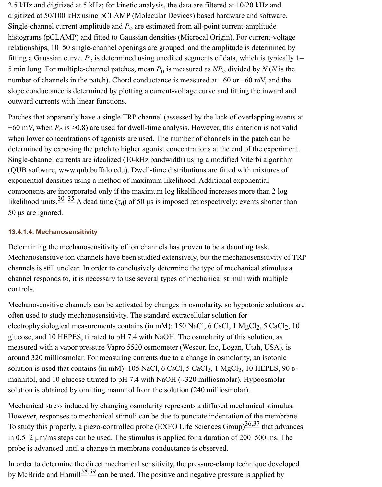Patches that apparently have a single TRP channel (assessed by the lack of overlapping event  $+60$  mV, when  $P_0$  is  $>0.8$ ) are used for dwell-time analysis. However, this criterion is not valid when lower concentrations of agonists are used. The number of channels in the patch can be determined by exposing the patch to higher agonist concentrations at the end of the experime Single-channel currents are idealized (10-kHz bandwidth) using a modified Viterbi algorithm (QUB software, www.qub.buffalo.edu). Dwell-time distributions are fitted with mixtures of exponential densities using a method of maximum likelihood. Additional exponential components are incorporated only if the maximum log likelihood increases more than 2 log likelihood units.<sup>30–35</sup> A dead time ( $\tau_d$ ) of 50 µs is imposed retrospectively; events shorter tha 50 µs are ignored. d

## **13.4.1.4. Mechanosensitivity**

Determining the mechanosensitivity of ion channels has proven to be a daunting task. Mechanosensitive ion channels have been studied extensively, but the mechanosensitivity of channels is still unclear. In order to conclusively determine the type of mechanical stimulus a channel respond[s to, it is necessary to](http://www.qub.buffalo.edu/) use several types of mechanical stimuli with multiple controls.

Mechanosensiti[ve cha](https://www.ncbi.nlm.nih.gov/books/NBK92807/#)nnels can be activated by changes in osmolarity, so hypotonic solutions often used to study mechanosensitivity. The standard extracellular solution for electrophysiological measurements contains (in mM): 150 NaCl, 6 CsCl, 1 MgCl<sub>2</sub>, 5 CaCl<sub>2</sub>, glucose, and 10 HEPES, titrated to pH 7.4 with NaOH. The osmolarity of this solution, as measured with a vapor pressure Vapro 5520 osmometer (Wescor, Inc, Logan, Utah, USA), is around 320 milliosmolar. For measuring currents due to a change in osmolarity, an isotonic solution is used that contains (in mM):  $105$  NaCl, 6 CsCl, 5 CaCl<sub>2</sub>, 1 MgCl<sub>2</sub>, 10 HEPES, 90  $\pm$ mannitol, and 10 glucose titrated to pH 7.4 with NaOH (∼320 milliosmolar). Hypoosmolar solution is obtained by omitting mannitol from the solution (240 milliosmolar).

Mechanical stress induced by changing osmolarity represents a diffused mechanical stimulus. However, responses to mechanical stimuli can be due to punctate indentation of the membrane. To study this properly, a piezo-controlled probe (EXFO Life Sciences Group) $\frac{36,37}{3}$  that advan in 0.5–2 µm/ms steps can be used. The stimulus is applied for a duration of 200–500 ms. The probe is advanced until a change in membrane conductance is observed.

In order to determine the direct mechanical sensitivity, the pressure-clamp technique develop by McBride and Hamill $\frac{38,39}{2}$  can be used. The positive and negative pressure is applied by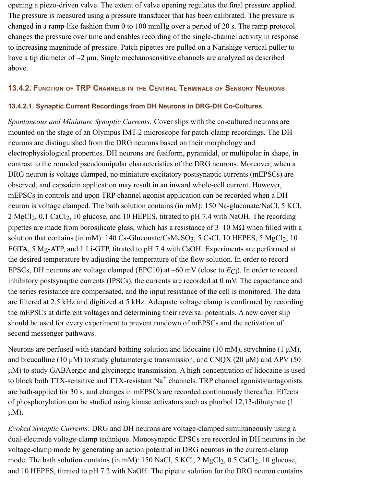opening a piezo-driven valve. The extent of valve opening regulates the final pressure applied. The pressure is measured using a pressure transducer that has been calibrated. The pressure is changed in a ramp-like fashion from 0 to 100 mmHg over a period of 20 s. The ramp protocol changes the pressure over time and enables recording of the single-channel activity in response to increasing magnitude of pressure. Patch pipettes are pulled on a Narishige vertical puller to have a tip diameter of ∼2 µm. Single mechanosensitive channels are analyzed as described above.

#### **13.4.2. FUNCTION OF TRP CHANNELS IN THE CENTRAL TERMINALS OF SENSORY NEURONS**

#### **13.4.2.1. Synaptic Current Recordings from DH Neurons in DRG-DH Co-Cultures**

*Spontaneous and Miniature Synaptic Currents:* Cover slips with the co-cultured neurons are mounted on the stage of an Olympus IMT-2 microscope for patch-clamp recordings. The DH neurons are distinguished from the DRG neurons based on their morphology and electrophysiological properties. DH neurons are fusiform, pyramidal, or multipolar in shape, in contrast to the rounded pseudounipolar characteristics of the DRG neurons. Moreover, when a DRG neuron is voltage clamped, no miniature excitatory postsynaptic currents (mEPSCs) are observed, and capsaicin application may result in an inward whole-cell current. However, mEPSCs in controls and upon TRP channel agonist application can be recorded when a DH neuron is voltage clamped. The bath solution contains (in mM): 150 Na-gluconate/NaCl, 5 KCl,  $2 \text{ MgCl}_2$ , 0.1 CaCl<sub>2</sub>, 10 glucose, and 10 HEPES, titrated to pH 7.4 with NaOH. The recording pipettes are made from borosilicate glass, which has a resistance of  $3-10$  M $\Omega$  when filled with a solution that contains (in mM): 140 Cs-Gluconate/CsMeSO3, 5 CsCl, 10 HEPES, 5 MgCl2, 10 EGTA, 5 Mg-ATP, and 1 Li-GTP, titrated to pH 7.4 with CsOH. Experiments are performed at the desired temperature by adjusting the temperature of the flow solution. In order to record EPSCs, DH neurons are voltage clamped (EPC10) at –60 mV (close to  $E_{\text{Cl}}$ ). In order to record inhibitory postsynaptic currents (IPSCs), the currents are recorded at 0 mV. The capacitance and the series resistance are compensated, and the input resistance of the cell is monitored. The data are filtered at 2.5 kHz and digitized at 5 kHz. Adequate voltage clamp is confirmed by recording the mEPSCs at different voltages and determining their reversal potentials. A new cover slip should be used for every experiment to prevent rundown of mEPSCs and the activation of second messenger pathways.

Neurons are perfused with standard bathing solution and lidocaine (10 mM), strychnine (1  $\mu$ M), and bicuculline (10  $\mu$ M) to study glutamatergic transmission, and CNQX (20  $\mu$ M) and APV (50 µM) to study GABAergic and glycinergic transmission. A high concentration of lidocaine is used to block both TTX-sensitive and TTX-resistant Na<sup>+</sup> channels. TRP channel agonists/antagonists are bath-applied for 30 s, and changes in mEPSCs are recorded continuously thereafter. Effects of phosphorylation can be studied using kinase activators such as phorbol 12,13-dibutyrate (1  $\mu$ M).

*Evoked Synaptic Currents:* DRG and DH neurons are voltage-clamped simultaneously using a dual-electrode voltage-clamp technique. Monosynaptic EPSCs are recorded in DH neurons in the voltage-clamp mode by generating an action potential in DRG neurons in the current-clamp mode. The bath solution contains (in mM): 150 NaCl, 5 KCl, 2 MgCl<sub>2</sub>, 0.5 CaCl<sub>2</sub>, 10 glucose, and 10 HEPES, titrated to pH 7.2 with NaOH. The pipette solution for the DRG neuron contains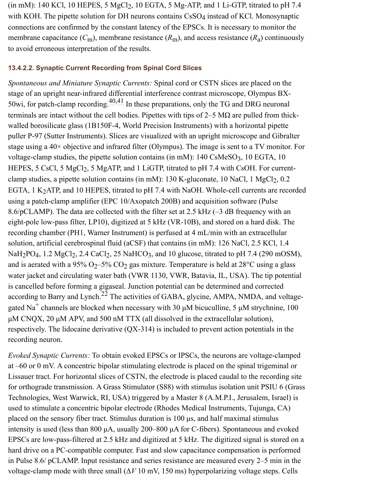terminals are intact without the cell bodies. Pipettes with tips of  $2-5$  M $\Omega$  are pulled from thic walled borosilicate glass (1B150F-4, World Precision Instruments) with a horizontal pipette puller P-97 (Sutter Instruments). Slices are visualized with an upright microscope and Gibral stage using a  $40\times$  objective and infrared filter (Olympus). The image is sent to a TV monitor. voltage-clamp studies, the pipette solution contains (in mM): 140 CsMeSO<sub>3</sub>, 10 EGTA, 10 HEPES, 5 CsCl, 5 MgCl<sub>2</sub>, 5 MgATP, and 1 LiGTP, titrated to pH 7.4 with CsOH. For current clamp studies, a pipette solution contains (in mM): 130 K-gluconate, 10 NaCl, 1 MgCl<sub>2</sub>, 0.2 EGTA, 1 K<sub>2</sub>ATP, and 10 HEPES, titrated to pH 7.4 with NaOH. Whole-cell currents are reco using a patch-clamp amplifier (EPC 10/Axopatch 200B) and acquisition software (Pulse 8.6/pCLAMP). The data are coll[ected](https://www.ncbi.nlm.nih.gov/books/NBK92807/#) with the filter set at 2.5 kHz (–3 dB frequency with an eight-pole low-pass filter, LP10), digitized at 5 kHz (VR-10B), and stored on a hard disk. The recording chamber (PH1, Warner Instrument) is perfused at 4 mL/min with an extracellular solution, artificial cerebrospinal fluid (aCSF) that contains (in mM): 126 NaCl, 2.5 KCl, 1.4  $NaH_2PO_4$ , 1.2  $MgCl_2$ , 2.4  $CaCl_2$ , 25  $NaHCO_3$ , and 10 glucose, titrated to pH 7.4 (290 mOSI and is aerated with a 95% O<sub>2</sub>–5% CO<sub>2</sub> gas mixture. Temperature is held at 28°C using a glas water jacket and circulating water bath (VWR 1130, VWR, Batavia, IL, USA). The tip poten is cancelled before forming a gigaseal. Junction potential can be determined and corrected according to Barry and Lynch. $^{22}$  The activities of GABA, glycine, AMPA, NMDA, and volta gated Na<sup>+</sup> channels are blocked when necessary with 30  $\mu$ M bicuculline, 5  $\mu$ M strychnine, 10 μM CNQX, 20 μM APV, and 500 nM TTX (all dissolved in the extracellular solution), respectively. The lidocaine derivative (QX-314) is included to prevent action potentials in the recording neuron.

*Evoked Synaptic Currents:* To obtain evoked EPSCs or IPSCs, the neurons are voltage-clamp at –60 or 0 mV. A concentric bipolar stimulating electrode is placed on the spinal trigeminal or Lissauer tract. For horizontal slices of CSTN, the electrode is placed caudal to the recording strategies for orthograde transmission. A Grass Stimulator (S88) with stimulus isolation unit PSIU 6 (G Technologies, West Warwick, [RI](https://www.ncbi.nlm.nih.gov/books/NBK92807/#), USA) triggered by a Master 8 (A.M.P.I., Jerusalem, Israel) is used to stimulate a concentric bipolar electrode (Rhodes Medical Instruments, Tujunga, CA) placed on the sensory fiber tract. Stimulus duration is 100 µs, and half maximal stimulus intensity is used (less than 800  $\mu$ A, usually 200–800  $\mu$ A for C-fibers). Spontaneous and evok EPSCs are low-pass-filtered at 2.5 kHz and digitized at 5 kHz. The digitized signal is stored hard drive on a PC-compatible computer. Fast and slow capacitance compensation is perform in Pulse  $8.6/$  pCLAMP. Input resistance and series resistance are measured every  $2-5$  min in voltage-clamp mode with three small  $(\Delta V 10 \text{ mV}, 150 \text{ ms})$  hyperpolarizing voltage steps. Cel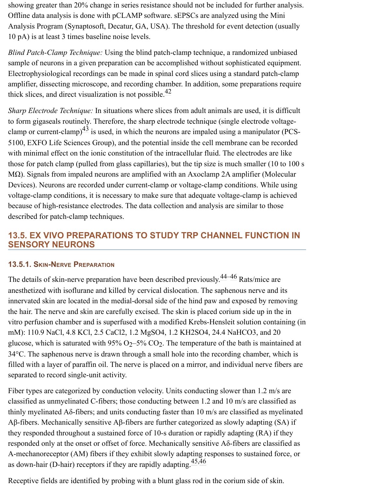*Sharp Electrode Technique:* In situations where slices from adult animals are used, it is diffic to form gigaseals routinely. Therefore, the sharp electrode technique (single electrode voltageclamp or current-clamp)<sup>43</sup> is used, in which the neurons are impaled using a manipulator (PC 5100, EXFO Life Sciences Group), and the potential inside the cell membrane can be recorded with minimal effect on the ionic constitution of the intracellular fluid. The electrodes are like those for patch clamp (pulled from glass capillaries), but the tip size is much smaller  $(10 \text{ to } 10)$ MΩ). Signals from impaled neurons are amplified with an Axoclamp 2A amplifier (Molecular-Devices). Neurons are recorded under current-clamp or voltage-clamp conditions. While using voltage-clamp conditions, it is necessary to make s[ure](https://www.ncbi.nlm.nih.gov/books/NBK92807/#) that adequate voltage-clamp is achieve because of high-resistance electrodes. The data collection and analysis are similar to those described for patch-clamp techniques.

## **13.5. EX VIVO PR[EP](https://www.ncbi.nlm.nih.gov/books/NBK92807/#)ARATIONS TO STUDY TRP CHANNEL FUNCTION SENSORY NEURONS**

## **13.5.1. SKIN-NERVE PREPARATION**

The details of skin-nerve preparation have been described previously. $\frac{44-46}{ }$  Rats/mice are anesthetized with isoflurane and killed by cervical dislocation. The saphenous nerve and its innervated skin are located in the medial-dorsal side of the hind paw and exposed by removing the hair. The nerve and skin are carefully excised. The skin is placed corium side up in the in vitro perfusion chamber and is superfused with a modified Krebs-Hensleit solution containin mM): 110.9 NaCl, 4.8 KCl, 2.5 CaCl2, 1.2 MgSO4, 1.2 KH2SO4, 24.4 NaHCO3, and 20 glucose, which is saturated with 95%  $O_2$ –5%  $CO_2$ . The temperature of the bath is maintained 34°C. The saphenous nerve is drawn through a small hole into the recording chamber, which filled with a layer of paraffin oil. The nerve is placed on a mirror, and individual nerve fibers separated to record single-unit activity.

Fiber types are categorized by conduction velocity. Units conducting [slowe](https://www.ncbi.nlm.nih.gov/books/NBK92807/#)r than 1.2 m/s are classified as unmyelinated C-fibers; those conducting between 1.2 and 10 m/s are classified as thinly myelinated A $\delta$ -fibers; and units conducting faster than 10 m/s are classified as myelinated Aβ-fibers. Mechanically sensitive Aβ-fibers are further categorized as slowly adapting  $(SA)$ : they responded throughout a sustained force of 10-s duration or rapidly adapting (RA) if they responded only at the onset or offset of force. Mechanically sensitive  $A\delta$ -fibers are classified A-mechanoreceptor (AM) fibers if they exhibit slowly adapting responses to sustained force, as down-hair (D-hair) receptors if they are rapidly adapting.  $\frac{45,46}{4}$ 

Receptive fields are identified by probing with a blunt glass rod in the corium side of skin.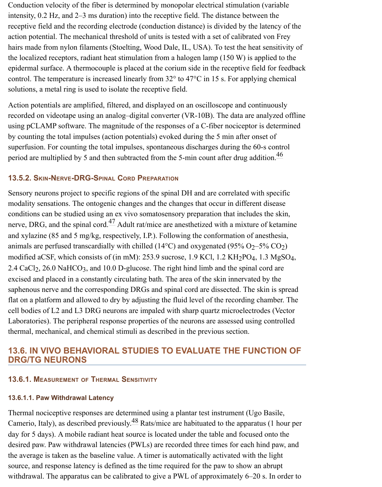Action potentials are amplified, filtered, and displayed on an oscilloscope and continuously recorded on videotape using an analog-digital converter (VR-10B). The data are analyzed of using pCLAMP software. The magnitude of the responses of a C-fiber nociceptor is determined by counting the total impulses (action potentials) evoked during the 5 min after onset of superfusion. For counting the total impulses, spontaneous discharges during the 60-s control period are multiplied by 5 and then subtracted from the 5-min count after drug addition. $\frac{46}{5}$ 

### **13.5.2. SKIN-NERVE-DRG-SPINAL CORD PREPARATION**

Sensory neurons project to specific regions of the spinal DH and are correlated with specific modality sensations. The ontogenic changes and the changes that occur in different disease conditions can be studied using an ex vivo somatosensory preparation that includes the skin, nerve, DRG, and the spinal cord. $\frac{47}{1}$  Adult rat/mice are anesthetized with a mixture of ketamin and xylazine (85 and 5 mg/kg, respectively, I.P.). Following the conformation of anesthesia, animals are perfused transcardially with chilled (14°C) and oxygenated (95%  $O_2$ –5%  $CO_2$ ) modified aCSF, which consists of (in mM): 253.9 sucrose,  $1.9$  KCl,  $1.2$  KH<sub>2</sub>PO<sub>4</sub>,  $1.3$  MgSO<sub>4</sub> 2.4 CaCl<sub>2</sub>, 26.0 NaHCO<sub>3</sub>, and 10.0 D-glucose. The right hind limb and the spinal cord [are](https://www.ncbi.nlm.nih.gov/books/NBK92807/#) excised and placed in a constantly circulating bath. The area of the skin innervated by the saphenous nerve and the corresponding DRGs and spinal cord are dissected. The skin is spread flat on a platform and allowed to dry by adjusting the fluid level of the recording chamber. The cell bodies of L2 and L3 DRG neurons are impaled with sharp quartz microelectrodes (Vector-Laboratories). The peripheral response properties of the neurons are assessed using controlled thermal, mechanical, and chemic[al](https://www.ncbi.nlm.nih.gov/books/NBK92807/#) stimuli as described in the previous section.

## **13.6. IN VIVO BEHAVIORAL STUDIES TO EVALUATE THE FUNCTION ( DRG/TG NEURONS**

### **13.6.1. MEASUREMENT OF THERMAL SENSITIVITY**

#### **13.6.1.1. Paw Withdrawal Latency**

Thermal nociceptive responses are determined using a plantar test instrument (Ugo Basile, Camerio, Italy), as described previously.  $\frac{48}{3}$  Rats/mice are habituated to the apparatus (1 hour day for 5 days). A mobile radiant heat source is located under the table and focused onto the desired paw. Paw withdrawal latencies (PWLs) are recorded three times for each hind paw, and the average is taken as the baseline value. A timer is automatically activated with the light source, and response latency is defined as the time required for the paw to show an abrupt withdrawal. The apparatus can be calibrated to give a PWL of approximately  $6-20$  s. In order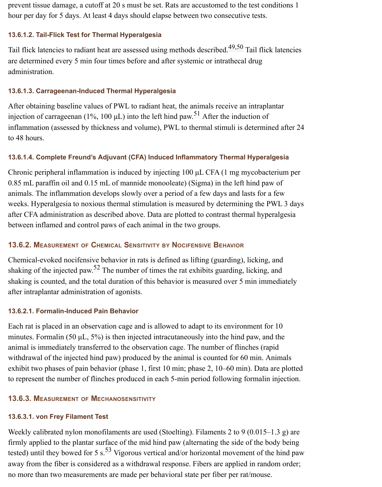After obtaining baseline values of PWL to radiant heat, the animals received and interactional receiver and in injection of carrageenan (1%, 100  $\mu$ L) into the left hind paw.<sup>51</sup> After the induction of inflammation (assessed by thickness and volume), PWL to thermal stimuli is determined after to 48 hours.

### **13.6.1.4. Complete Freund's Adjuvant (CFA) Induced Inflammatory Th[erma](https://www.ncbi.nlm.nih.gov/books/NBK92807/#)l Hyperalgesia**

Chronic peripheral inflammation is induced by injecting  $100 \mu$ L CFA (1 mg mycobacterium peripheral 0.85 mL paraffin oil and 0.15 mL of mannide monooleate) (Sigma) in the left hind paw of animals. The inflammation develops slowly over a period of a few days and lasts for a few weeks. Hyperalgesia to noxious thermal stimulation is measured by determining the PWL 3 do after CFA administration as described above. Data are plotted to contrast thermal hyperalgesia between inflamed and control paws of each animal in the tw[o g](https://www.ncbi.nlm.nih.gov/books/NBK92807/#)roups.

## **13.6.2. MEASUREMENT OF CHEMICAL SENSITIVITY BY NOCIFENSIVE BEHAVIOR**

Chemical-evoked nocifensive behavior in rats is defined as lifting (guarding), licking, and shaking of the injected paw.<sup>52</sup> The number of times the rat exhibits guarding, licking, and shaking is counted, and the total duration of this behavior is measured over 5 min immediately after intraplantar administration of agonists.

## **13.6.2.1. Formalin-Induced Pain Behavior**

Each rat is placed in an observation cage and is allowed to adapt to its environment for 10 minutes. Formalin (50  $\mu$ L, 5%) is then injected intracutaneously into the hind paw, and the animal is immediately transferred to the observation cage. The number of flinches (rapid withdrawal of the injected hind paw) produced by the animal is counted for 60 min. Animals exhibit two phases of pain behavior (phase 1, first 10 min; phase 2,  $10-60$  min). Data are plot to represent the number of f[lin](https://www.ncbi.nlm.nih.gov/books/NBK92807/#)ches produced in each 5-min period following formalin injection.

## **13.6.3. MEASUREMENT OF MECHANOSENSITIVITY**

## **13.6.3.1. von Frey Filament Test**

Weekly calibrated nylon monofilaments are used (Stoelting). Filaments 2 to 9 (0.015–1.3 g) and firmly applied to the plantar surface of the mid hind paw (alternating the side of the body bei tested) until they bowed for 5 s.<sup>53</sup> Vigorous vertical and/or horizontal movement of the hind away from the fiber is considered as a withdrawal response. Fibers are applied in random ord no more than two measurements are made per behavioral state per fiber per rat/mouse.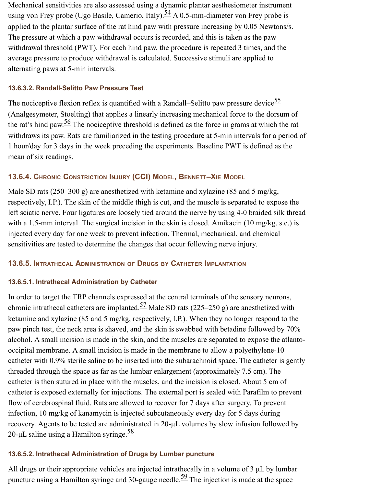(Analgesymeter, Stoelting) that applies a linearly increasing mechanical force to the dorsum the rat's hind paw.<sup>56</sup> The nociceptive threshold is [defi](https://www.ncbi.nlm.nih.gov/books/NBK92807/#)ned as the force in grams at which the r withdraws its paw. Rats are familiarized in the testing procedure at 5-min intervals for a period 1 hour/day for 3 days in the week preceding the experiments. Baseline PWT is defined as the mean of six readings.

### **13.6.4. CHRONIC CONSTRICTION INJURY (CCI) MODEL, BENNETT–XIE MODEL**

Male SD rats (250–300 g) are anesthetized with ketamine and xylazine (85 and 5 mg/kg, respectively, I.P.). The skin of the middle thigh is cut, and the muscle is separated to expose t left sciatic nerve. Four ligatures are loosely tied around the nerve by using 4-0 braided [sil](https://www.ncbi.nlm.nih.gov/books/NBK92807/#)k th with a 1.5-mm interval. The surgical incision in the skin is closed. Amikacin (10 mg/kg, s.c.) injected every da[y fo](https://www.ncbi.nlm.nih.gov/books/NBK92807/#)r one week to prevent infection. Thermal, mechanical, and chemical sensitivities are tested to determine the changes that occur following nerve injury.

### **13.6.5. INTRATHECAL ADMINISTRATION OF DRUGS BY CATHETER IMPLANTATION**

#### **13.6.5.1. Intrathecal Administration by Catheter**

In order to target the TRP channels expressed at the central terminals of the sensory neurons, chronic intrathecal catheters are implanted.<sup>57</sup> Male SD rats (225–250 g) are anesthetized with ketamine and xylazine (85 and 5 mg/kg, respectively, I.P.). When they no longer respond to the paw pinch test, the neck area is shaved, and the skin is swabbed with betadine followed by 70% alcohol. A small incision is made in the skin, and the muscles are separated to expose the atla occipital membrane. A small incision is made in the membrane to allow a polyethylene-10 catheter with 0.9% sterile saline to be inserted into the subarachnoid space. The catheter is go threaded through the space as far as the lumbar enlargement (approximately 7.5 cm). The catheter is then sutured in place with the muscles, and the incision is closed. About 5 cm of catheter is exposed externally for injections. The external port is sealed with Parafilm to prev flow of cerebrospinal fluid. Rats are allowed to recover for 7 days after surgery. To prevent infection, 10 mg/kg of kanamycin is inject[ed](https://www.ncbi.nlm.nih.gov/books/NBK92807/#) subcutaneously every day for 5 days during recovery. Agents to be tested are administrated in 20-µL volumes by slow infusion followed by 20-µL saline using a Hamilton syringe.<sup>58</sup>

### **13.6.5.2. Intrathecal Administration of Drugs by Lumbar puncture**

All drugs or their appropriate vehicles are injected intrathecally in a volume of  $3 \mu L$  by lumb puncture using a Hamilton syringe and 30-gauge needle.<sup>59</sup> The injection is made at the space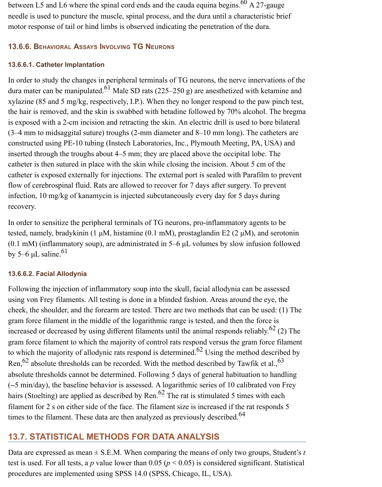the hair is removed, and the skin is swabbed with betadine followed by 70[% al](https://www.ncbi.nlm.nih.gov/books/NBK92807/#)cohol. The bre is exposed with a 2-cm incision and retracting the skin. An electric drill is used to bore bilate  $(3-4 \text{ mm to midsaggi tal suture})$  troughs  $(2\text{-mm diameter and } 8-10 \text{ mm long})$ . The catheters are constructed using PE-10 tubing (Instech Laboratories, Inc., Plymouth Meeting, PA, USA) and inserted through the troughs about 4–5 mm; they are placed above the occipital lobe. The catheter is then sutured in place with the skin while closing the incision. About 5 cm of the catheter is exposed externally for injections. The external port is sealed with Parafilm to prev flow of cerebrospinal fluid. Rats are allowed to recover for 7 days after surgery. To prevent infection, 10 mg/kg of kanamy[cin](https://www.ncbi.nlm.nih.gov/books/NBK92807/#) is injected subcutaneously every day for 5 days during recovery.

In order to sensitize the peripheral terminals of TG neurons, pro-inflammatory agents to be tested, namely, bradykinin (1  $\mu$ M, histamine (0.1 mM), prostaglandin E2 (2  $\mu$ M), and seroton (0.1 mM) (inflammatory soup), are administrated in  $5-6$  µL volumes by slow infusion follow by 5–6  $\mu$ L saline.<sup>61</sup>

#### **13.6.6.2. Facial Allodynia**

Following the injection of inflammatory soup into the skull, facial allodynia can be assessed using von Frey filaments. All testing is done in a blinded fashion. Areas around the eye, the cheek, the shoulder, and the forearm are tested. There are two methods that can be used: (1) The gram force filament in the middle of the logarithmic range is tested, and then the force is increased or decreased by using different filaments until the animal responds reliably.  $\stackrel{62}{=}$  (2) T gram force filament to which the majority of control rats respond versus the gram force filam to which the majority of allodynic rats respond is determined. $\frac{62}{5}$  Using the method described Ren,  $\frac{62}{5}$  absolute t[hre](https://www.ncbi.nlm.nih.gov/books/NBK92807/#)sholds can be recorded. With the method described by Tawfik et al.,  $\frac{63}{5}$ absolute thresholds cannot be determined. Following 5 days of general habituation to handling (∼5 min/day), the baseline behavior is assessed. A logarithmic series of 10 calibrated von Frey hairs (Stoelting) are applied as described by Ren. $\frac{62}{5}$  The rat is stimulated 5 times with each filament for 2 s on either side of the face. The filament size is increased if the rat responds 5 times to the filament. These data are then analyzed as previously described.<sup>64</sup>

## **13.7. STATISTICAL METHODS FOR DATA ANALYSIS**

Data are expressed as mean  $\pm$  S.E.M. When comparing the means of only two groups, Student's *t* test [is](https://www.ncbi.nlm.nih.gov/books/NBK92807/#) used. For all tests, a *p* value lower than 0.05 ( $p < 0.05$ ) is considered significant. [Sta](https://www.ncbi.nlm.nih.gov/books/NBK92807/#)tistically proc[edu](https://www.ncbi.nlm.nih.gov/books/NBK92807/#)res are implemented using SPSS 14.0 (SPSS, Chicago, IL, USA).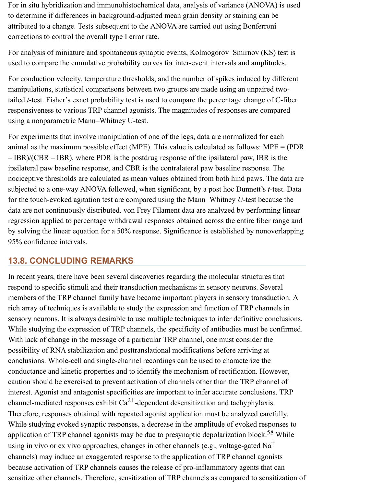responsiveness to various TRP channel agonists. The magnitudes of responses are compared using a nonparametric Mann–Whitney U-test.

For experiments that involve manipulation of one of the legs, data are normalized for each animal as the maximum possible effect (MPE). This value is calculated as follows:  $MPE = (F \cdot R)$ – IBR)/(CBR – IBR), where PDR is the postdrug response of the ipsilateral paw, IBR is the ipsilateral paw baseline response, and CBR is the contralateral paw baseline response. The nociceptive thresholds are calculated as mean values obtained from both hind paws. The data subjected to a one-way ANOVA followed, when significant, by a post hoc Dunnett's *t*-test. D for the touch-evoked agitation test are compared using the Mann–Whitney *U*-test because the data are not continuously distributed. von Frey Filament data are analyzed by performing line regression applied to percentage withdrawal responses obtained across the entire fiber range by solving the linear equation for a 50% response. Significance is established by nonoverlapp 95% confidence intervals.

# **13.8. CONCLUDING REMARKS**

In recent years, there have been several discoveries regarding the molecular structures that respond to specific stimuli and their transduction mechanisms in sensory neurons. Several members of the TRP channel family have become important players in sensory transduction. rich array of techniques is available to study the expression and function of TRP channels in sensory neurons. It is always desirable to use multiple techniques to infer definitive conclusions. While studying the expression of TRP channels, the specificity of antibodies must be confirm With lack of change in the message of a particular TRP channel, one must consider the possibility of RNA stabilization and posttranslational modifications before arriving at conclusions. Whole-cell and single-channel recordings can be used to characterize the conductance and kinetic properties and to identify the mechanism of rectification. However, caution should be exercised to prevent activation of channels other than the TRP channel of interest. Agonist and antagonist specificities are important to infer accurate conclusions. TRF channel-mediated responses exhibit  $Ca^{2+}$ -dependent desensitization and tachyphylaxis. Therefore, responses obtained with repeated agonist application must be analyzed carefully. While studying evoked synaptic responses, a decrease in the amplitude of evoked responses to application of TRP channel agonists may be due to presynaptic depolarization block.<sup>58</sup> While using in vivo or ex vivo approaches, changes in other channels (e.g., voltage-gated  $Na<sup>+</sup>$ channels) may induce an exaggerated response to the application of TRP channel agonists because activation of TRP channels causes the release of pro-inflammatory agents that can sensitize other channels. Therefore, sensitization of TRP channels as compared to sensitization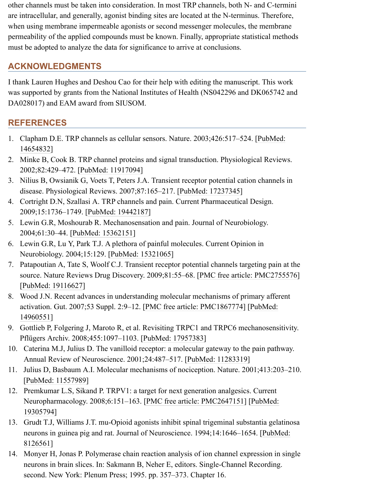# **REFERENCES**

- 1. Clapham D.E. TRP channels as cellular sensors. Nature. 2003;426:517–524. [PubMed: 14654832]
- 2. Minke B, Cook B. TRP channel proteins and signal transduction. Physiological Reviews. 2002;82:429–472. [PubMed: 11917094]
- 3. Nilius B, Owsianik G, Voets T, Peters J.A. Transient receptor potential cation channels in disease. Physiological Reviews. 2007;87:165–217. [PubMed: 17237345]
- 4. Cortright D.N, Szallasi A. TRP channels and pain. Current Pharmaceutical Design. 2009;15:1736–1749. [PubMed: 19442187]
- 5. Lewin G.R, Moshourab R. Mechanosensation and pain. Journal of Neurobiology. 2004;61:30–44. [PubMed: 15362151]
- 6. [Lewin G.R, Lu Y, Park T.J. A plethora of painful molecules. Current Opinion in](https://www.ncbi.nlm.nih.gov/pubmed/14654832) Neurobiology. 2004;15:129. [PubMed: 15321065]
- 7. Patapoutian A, Tate S, Woolf C.J. Transient receptor potential channels targeting pain at the source. Nature Rev[iews Drug Discovery](https://www.ncbi.nlm.nih.gov/pubmed/11917094). 2009;81:55-68. [PMC free article: PMC2755576] [PubMed: 19116627]
- 8. Wood J.N. Recent advances in understanding molec[ular mechanisms of](https://www.ncbi.nlm.nih.gov/pubmed/17237345) primary afferent activation. Gut. 2007;53 Suppl. 2:9–12. [PMC free article: PMC1867774] [PubMed: 14960551]
- 9. Gottlieb P, Folgering [J, Maroto R, et al. Re](https://www.ncbi.nlm.nih.gov/pubmed/19442187)visiting TRPC1 and TRPC6 mechanosensitivity Pflügers Archiv. [2008;455:1097–1103](https://www.ncbi.nlm.nih.gov/pubmed/15362151). [PubMed: 17957383]
- 10. Caterina M.J, Julius D. The vanilloid receptor: a molecular gateway to the pain pathway. Annual Review of Neurosci[ence. 2001;24:487–5](https://www.ncbi.nlm.nih.gov/pubmed/15321065)17. [PubMed: 11283319]
- 11. Julius D, Basbaum A.I. Molecular mechanisms of nociception. Nature. 2001;413:203-2 [PubMed: 11557989]
- 12. [Premkumar L.S, Sik](https://www.ncbi.nlm.nih.gov/pubmed/19116627)and P. TRPV1: a target for next gene[ration analgesics. Current](https://www.ncbi.nlm.nih.gov/pmc/articles/PMC2755576/) Neuropharmacology. 2008;6:151–163. [PMC free article: PMC2647151] [PubMed: 19305794]
- 13. [Grudt T.J, Williams J.T. mu-Opioid agonists inhibit spinal trigeminal substantia gela](https://www.ncbi.nlm.nih.gov/pubmed/14960551)tinos neurons in guinea pig and rat. Journal of Neuroscience. 1994;14:1646–1654. [PubMed: 8126561]
- 14. Monyer H, Jonas P. Polymerase chain [reaction analysis of i](https://www.ncbi.nlm.nih.gov/pubmed/17957383)on channel expression in singleneurons in brain slices. In: Sakmann B, Neher E, edit[ors. Single-Channel](https://www.ncbi.nlm.nih.gov/pubmed/11283319) Recording. second. New York: Plenum Press; 1995. pp. 357–373. Chapter 16.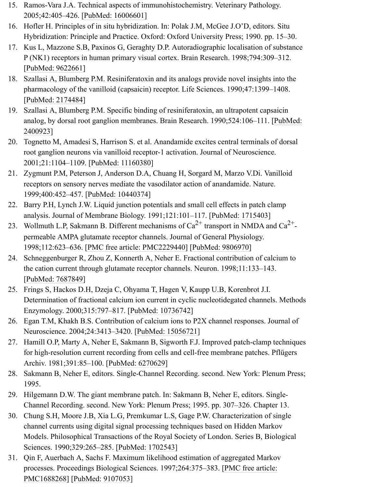- 19. Szallasi A, Blumberg P.M. Specific binding of resiniferatoxin, an ultrapotent capsaicin analog, by dorsal r[oot ganglion membra](https://www.ncbi.nlm.nih.gov/pubmed/16006601)nes. Brain Research. 1990;524:106-111. [PubM 2400923]
- 20. Tognetto M, Amadesi S, Harrison S. et al. Anandamide excites central terminals of dorsal root ganglion neurons via vanilloid receptor-1 activation. Journal of Neuroscience. 2001;21:1104–1109. [PubMed: 11160380]
- 21. [Zygmunt P.M, Peter](https://www.ncbi.nlm.nih.gov/pubmed/9622661)son J, Anderson D.A, Chuang H, Sorgard M, Marzo V.Di. Vanilloid receptors on sensory nerves mediate the vasodilator action of anandamide. Nature. 1999;400:452–457. [PubMed: 10440374]
- 22. [Barry P.H, Lynch J.](https://www.ncbi.nlm.nih.gov/pubmed/2174484)W. Liquid junction potentials and small cell effects in patch clamp analysis. Journal of Membrane Biology. 1991;121:101–117. [PubMed: 1715403]
- 23. Wollmuth L.P, Sakmann B. Different mechanisms of  $Ca^{2+}$  transport in NMDA and  $Ca^{2+}$ [permeable AMPA glutamate receptor channels. Journal of General Physiology.](https://www.ncbi.nlm.nih.gov/pubmed/2400923) 1998;112:623–636. [PMC free article: PMC2229440] [PubMed: 9806970]
- 24. Schneggenburger R, Zhou Z, Konnerth A, Neher E. Fractional contribution of calcium t the cation current thr[ough glutamate recep](https://www.ncbi.nlm.nih.gov/pubmed/11160380)tor channels. Neuron. 1998;11:133–143. [PubMed: 7687849]
- 25. Frings S, Hackos D.H, Dzeja C, Ohyama T, Hagen V, Kaupp U.B, Korenbrot J.I. Determination of fra[ctional calcium ion c](https://www.ncbi.nlm.nih.gov/pubmed/10440374)urrent in cyclic nucleotidegated channels. Met Enzymology. 2000;315:797–817. [PubMed: 10736742]
- 26. Egan T.M, Khakh B.S. Contribution of calcium ions to P2X [channel responses. J](https://www.ncbi.nlm.nih.gov/pubmed/1715403)ournal Neuroscience. 2004;24:3413–3420. [PubMed: 15056721]
- 27. Hamill O.P, Marty A, Neher E, Sakmann B, Sigworth F.J. Improved patch-clamp techni for high-resolution c[urrent recording from cells and c](https://www.ncbi.nlm.nih.gov/pmc/articles/PMC2229440/)el[l-free membrane pa](https://www.ncbi.nlm.nih.gov/pubmed/9806970)tches. Pflüge Archiv. 1981;391:85–100. [PubMed: 6270629]
- 28. Sakmann B, Neher E, editors. Single-Channel Recording. second. New York: Plenum P. [1995.](https://www.ncbi.nlm.nih.gov/pubmed/7687849)
- 29. Hilgemann D.W. The giant membrane patch. In: Sakmann B, Neher E, editors. Single-Channel Recording. second. New York: Plenum Press; 1995. pp. 307–326. Chapter 13.
- 30. Chung S.H, Moore J.B, Xia L.G, [Premkumar L.S, Gag](https://www.ncbi.nlm.nih.gov/pubmed/10736742)e P.W. Characterization of single channel currents using digital signal processing techniques based on Hidden Markov Models. Philosophical Transactions [of the Royal Society](https://www.ncbi.nlm.nih.gov/pubmed/15056721) of London. Series B, Biological Sciences. 1990;329:265–285. [PubMed: 1702543]
- 31. Qin F, Auerbach A, Sachs F. Maximum likelihood estimation of aggregated Markov processes. Proceedings Bio[logical Sciences. 19](https://www.ncbi.nlm.nih.gov/pubmed/6270629)97;264:375–383. [PMC free article: PMC1688268] [PubMed: 9107053]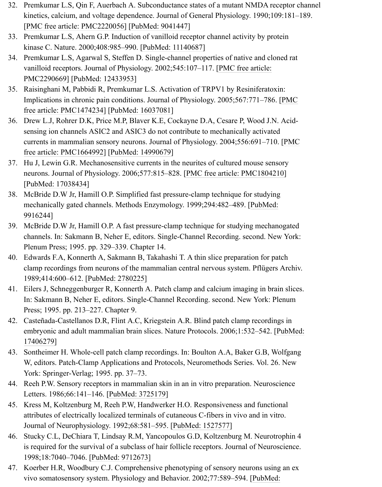- free article: PMC1474234] [PubMed: 16037081]
- 36. Drew L.J, Rohrer D.K, Price M.P, Blaver K.E, Cockayne D.A, Cesare P, Wood J.N. Acid[sensing ion channels ASIC2 and](https://www.ncbi.nlm.nih.gov/pmc/articles/PMC2220056/) A[SIC3 do not contrib](https://www.ncbi.nlm.nih.gov/pubmed/9041447)ute to mechanically activated currents in mammalian sensory neurons. Journal of Physiology. 2004;556:691-710. [PM free article: PMC1664992] [PubMed: [14990679\]](https://www.ncbi.nlm.nih.gov/pubmed/11140687)
- 37. Hu J, Lewin G.R. Mechanosensitive currents in the neurites of cultured mouse sensory [neurons. Journal of Physiology. 2006;577:815–828. \[PMC free article: PMC1804](https://www.ncbi.nlm.nih.gov/pmc/articles/PMC2290669/)210] [PubMed: 1703[8434\]](https://www.ncbi.nlm.nih.gov/pubmed/12433953)
- 38. McBride D.W Jr, Hamill O.P. Simplified fast pressure-clamp technique for studying [mechanically gated channels. Methods Enzymology. 1999;294:482–489. \[PubMed:](https://www.ncbi.nlm.nih.gov/pmc/articles/PMC1474234/) 9916244]
- 39. McBride D.W Jr, Hamill O.[P. A fast pressure-cla](https://www.ncbi.nlm.nih.gov/pubmed/16037081)mp technique for studying mechanogat channels. In: Sakmann B, Neher E, editors. Single-Channel Recording. second. New Yo Plenum Press; 1995. pp. 329–339. Chapter 14.
- 40. [Edwards F.A, Konnerth A, Sakmann B, Takahashi T. A thin slice preparation for patch](https://www.ncbi.nlm.nih.gov/pmc/articles/PMC1664992/) clamp recordings from neurons of the mammalian central nervous system. Pflügers Archive. 1989;414:600–612. [PubMed: 2780225]
- 41. [Eilers J, Schneggenb](https://www.ncbi.nlm.nih.gov/pubmed/17038434)urger R, Konnerth A. Patch cla[mp and calcium imaging in brain](https://www.ncbi.nlm.nih.gov/pmc/articles/PMC1804210/) sli In: Sakmann B, Neher E, editors. Single-Channel Recording. second. New York: Plenum Press; 1995. pp. 213–227. Chapter 9.
- 42. [Casteñada-Castellanos D.R, Flint A.C, Kriegstein A.R. Blind patch clamp recording](https://www.ncbi.nlm.nih.gov/pubmed/9916244)s in embryonic and adult mammalian brain slices. Nature Protocols. 2006;1:532–542. [PubN 17406279]
- 43. Sontheimer H. Whole-cell patch clamp recordings. In: Boulton A.A, Baker G.B, Wolfganger W, editors. Patch-Clamp Applications and Protocols, Neuromethods Series. Vol. 26. New York: Springer-Verlag; 1995. pp. 37–73.
- 44. Reeh P.W. Sensory r[eceptors in mamma](https://www.ncbi.nlm.nih.gov/pubmed/2780225)lian skin in an in vitro preparation. Neuroscienc Letters. 1986;66:141–146. [PubMed: 3725179]
- 45. Kress M, Koltzenburg M, Reeh P.W, Handwerker H.O. Responsiveness and functional attributes of electrically localized terminals of cutaneous C-fibers in vivo and in vitro. Journal of Neurophysiology. 1992;68:581–595. [PubMed: 1527577]
- 46. Stucky C.L, DeChiara T, Lindsay R.M, Yancopoulos G.D, Koltzenburg M. Neurotrophi is required for the survival of a subclass of hair follicle receptors. Journal of Neuroscien 1998;18:7040–7046. [PubMed: 9712673]
- 47. Koerber H.R, Woodbury C.J. Comprehensive phenotyping of sensory neurons using an vivo somatosensory system. Physiology and Behavior. 2002;77:589–594. [PubMed: